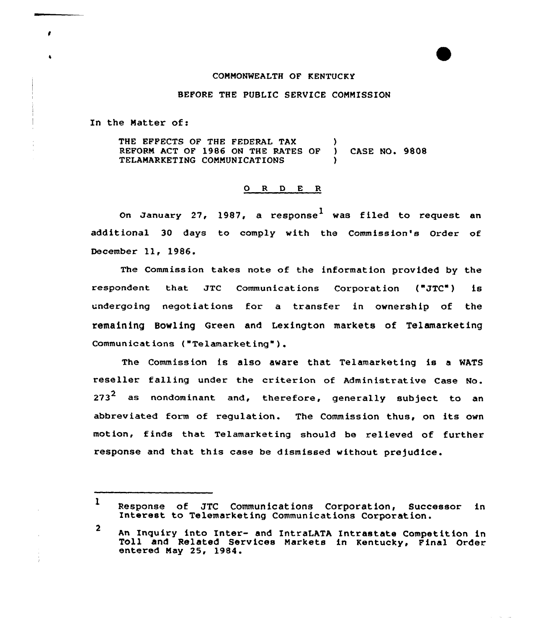## COMMONWEALTH OF KENTUCKY

## BEFORE THE PUBLIC SERVICE COMMISSION

In the Natter of:

 $\bullet$ 

THE EFFECTS OF THE FEDERAL TAX (a) REFORM ACT OF 1986 ON THE RATES OF ) CASE NO. 9808 TELAMARKETING COMMUNICATIONS )

## 0 R <sup>D</sup> E R

On January 27, 1987, a response<sup>l</sup> was filed to request an additional 30 days to comply with the Commission's Order of December ll, 1986.

The Commission takes note of the information provided by the respondent that JTC Communications Corporation ("JTC") is undergoing negotiations for a transfer in ownership of the remaining Bowling Green and Lexington markets of Telamarketing Communications ("Telamarketing").

The Commission is also aware that Telamarketing is a WATS reseller falling under the criterion of Administrative Case No. 273 $^{\sf 2}$  as nondominant and, therefore, generally subject to an abbreviated form of regulation. The Commission thus, on its own motion, finds that Telamarketing should be relieved of further response and that this case be dismissed without prejudice.

 $\mathbf{1}$ Response of JTC Communications Corporation, Successor in Interest to Telemarketing Communications Corporation.

2 An Inquiry into Inter- and IntraLATA Intrastate Competition in Toll and Related Services Markets in Kentucky, Final Order entered May 25, 1984.